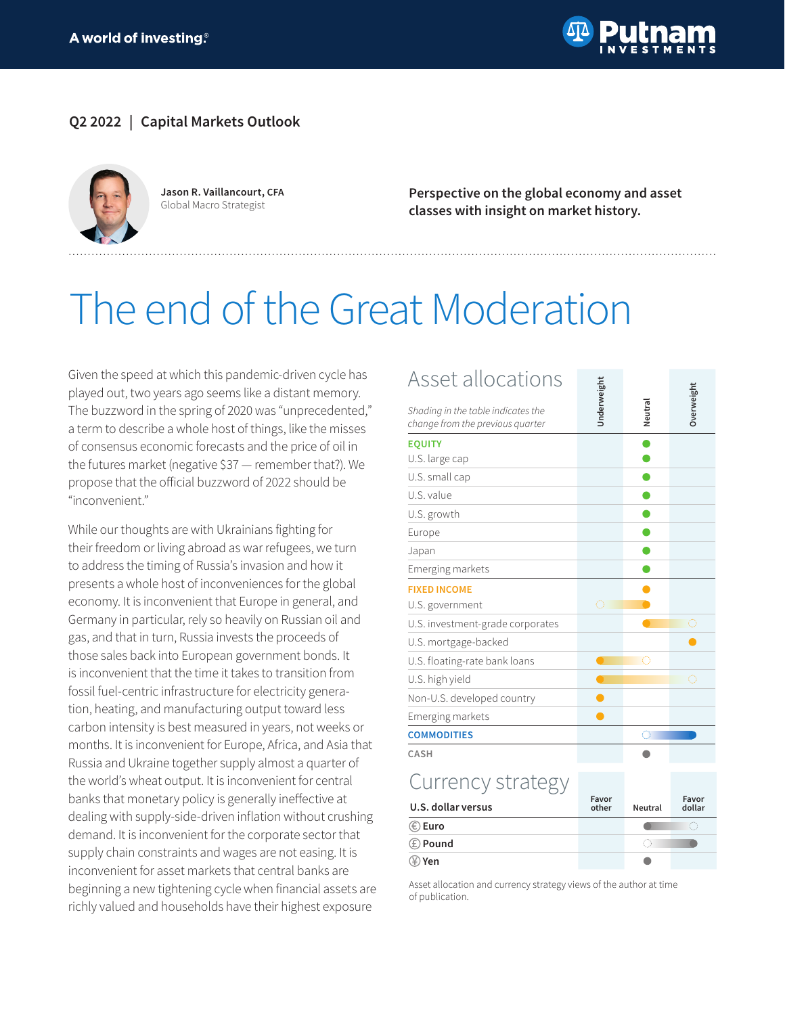

### **Q2 2022 | Capital Markets Outlook**



**Jason R. Vaillancourt, CFA** Global Macro Strategist

**Perspective on the global economy and asset classes with insight on market history.**

# The end of the Great Moderation

Given the speed at which this pandemic-driven cycle has played out, two years ago seems like a distant memory. The buzzword in the spring of 2020 was "unprecedented," a term to describe a whole host of things, like the misses of consensus economic forecasts and the price of oil in the futures market (negative \$37 — remember that?). We propose that the official buzzword of 2022 should be "inconvenient."

While our thoughts are with Ukrainians fighting for their freedom or living abroad as war refugees, we turn to address the timing of Russia's invasion and how it presents a whole host of inconveniences for the global economy. It is inconvenient that Europe in general, and Germany in particular, rely so heavily on Russian oil and gas, and that in turn, Russia invests the proceeds of those sales back into European government bonds. It is inconvenient that the time it takes to transition from fossil fuel-centric infrastructure for electricity generation, heating, and manufacturing output toward less carbon intensity is best measured in years, not weeks or months. It is inconvenient for Europe, Africa, and Asia that Russia and Ukraine together supply almost a quarter of the world's wheat output. It is inconvenient for central banks that monetary policy is generally ineffective at dealing with supply-side-driven inflation without crushing demand. It is inconvenient for the corporate sector that supply chain constraints and wages are not easing. It is inconvenient for asset markets that central banks are beginning a new tightening cycle when financial assets are richly valued and households have their highest exposure

| Asset allocations                                                      |                |         |                 |
|------------------------------------------------------------------------|----------------|---------|-----------------|
| Shading in the table indicates the<br>change from the previous quarter | Underweight    | Neutral | Overweight      |
| <b>EQUITY</b>                                                          |                |         |                 |
| U.S. large cap                                                         |                |         |                 |
| U.S. small cap                                                         |                |         |                 |
| U.S. value                                                             |                |         |                 |
| U.S. growth                                                            |                |         |                 |
| Europe                                                                 |                |         |                 |
| Japan                                                                  |                |         |                 |
| Emerging markets                                                       |                |         |                 |
| <b>FIXED INCOME</b>                                                    |                |         |                 |
| U.S. government                                                        | Ō              |         |                 |
| U.S. investment-grade corporates                                       |                |         | O               |
| U.S. mortgage-backed                                                   |                |         |                 |
| U.S. floating-rate bank loans                                          |                | Ô       |                 |
| U.S. high yield                                                        |                |         | Ō               |
| Non-U.S. developed country                                             |                |         |                 |
| Emerging markets                                                       |                |         |                 |
| <b>COMMODITIES</b>                                                     |                | 0       |                 |
| CASH                                                                   |                |         |                 |
| Currency strategy                                                      |                |         |                 |
| U.S. dollar versus                                                     | Favor<br>other | Neutral | Favor<br>dollar |
| $\circledast$ Euro                                                     |                |         | Ô               |
| ⊕ Pound                                                                |                | 0       |                 |
| ④ Yen                                                                  |                |         |                 |

Asset allocation and currency strategy views of the author at time of publication.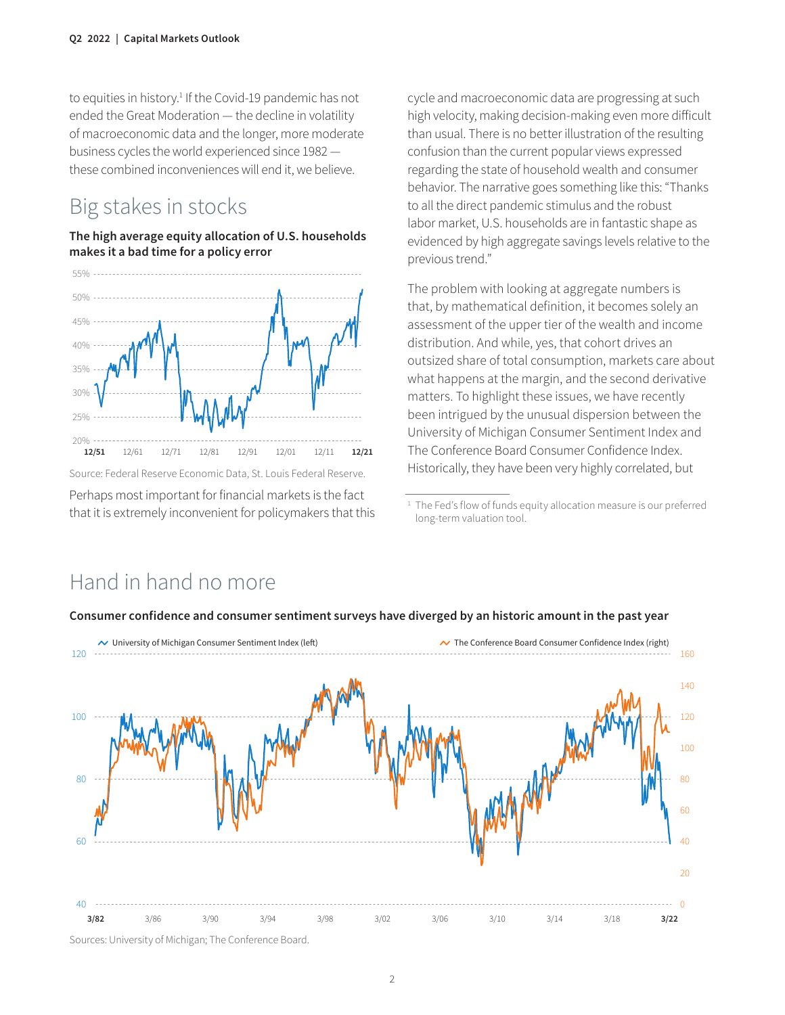to equities in history.<sup>1</sup> If the Covid-19 pandemic has not ended the Great Moderation — the decline in volatility of macroeconomic data and the longer, more moderate business cycles the world experienced since 1982 these combined inconveniences will end it, we believe.

## Big stakes in stocks

#### **The high average equity allocation of U.S. households makes it a bad time for a policy error**



Source: Federal Reserve Economic Data, St. Louis Federal Reserve.

Perhaps most important for financial markets is the fact that it is extremely inconvenient for policymakers that this

cycle and macroeconomic data are progressing at such high velocity, making decision-making even more difficult than usual. There is no better illustration of the resulting confusion than the current popular views expressed regarding the state of household wealth and consumer behavior. The narrative goes something like this: "Thanks to all the direct pandemic stimulus and the robust labor market, U.S. households are in fantastic shape as evidenced by high aggregate savings levels relative to the previous trend."

The problem with looking at aggregate numbers is that, by mathematical definition, it becomes solely an assessment of the upper tier of the wealth and income distribution. And while, yes, that cohort drives an outsized share of total consumption, markets care about what happens at the margin, and the second derivative matters. To highlight these issues, we have recently been intrigued by the unusual dispersion between the University of Michigan Consumer Sentiment Index and The Conference Board Consumer Confidence Index. Historically, they have been very highly correlated, but

## Hand in hand no more



#### **Consumer confidence and consumer sentiment surveys have diverged by an historic amount in the past year**

Sources: University of Michigan; The Conference Board.

<sup>&</sup>lt;sup>1</sup> The Fed's flow of funds equity allocation measure is our preferred long-term valuation tool.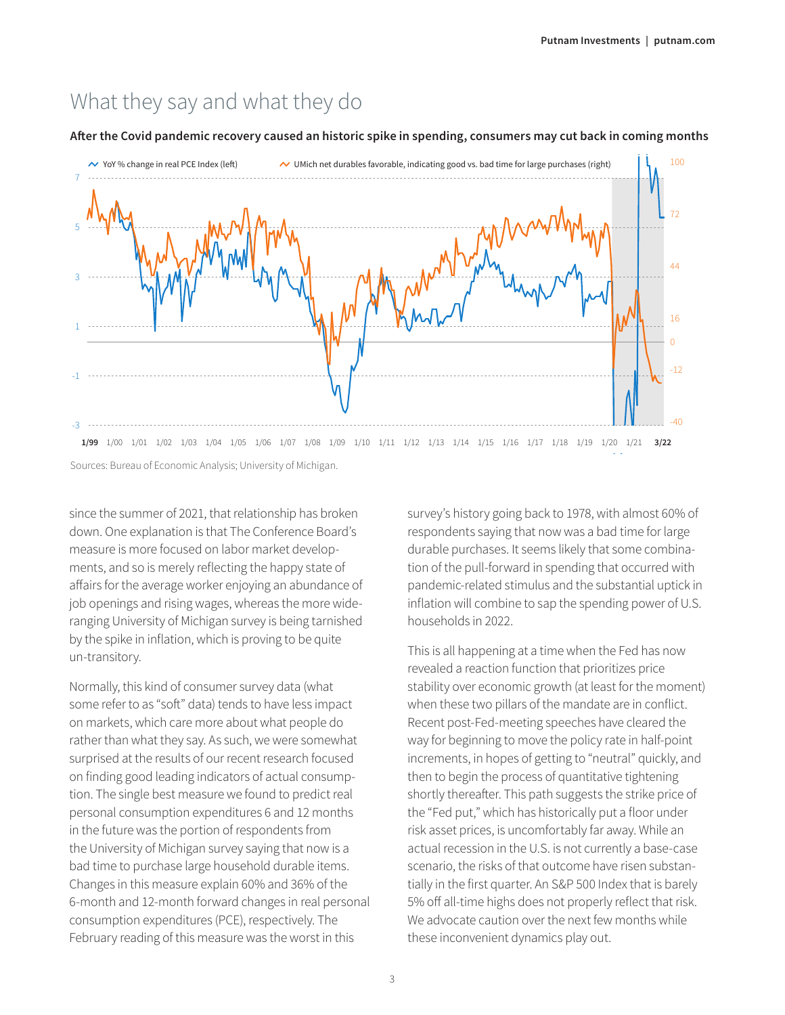## What they say and what they do

#### **After the Covid pandemic recovery caused an historic spike in spending, consumers may cut back in coming months**



Sources: Bureau of Economic Analysis; University of Michigan.

since the summer of 2021, that relationship has broken down. One explanation is that The Conference Board's measure is more focused on labor market developments, and so is merely reflecting the happy state of affairs for the average worker enjoying an abundance of job openings and rising wages, whereas the more wideranging University of Michigan survey is being tarnished by the spike in inflation, which is proving to be quite un-transitory.

Normally, this kind of consumer survey data (what some refer to as "soft" data) tends to have less impact on markets, which care more about what people do rather than what they say. As such, we were somewhat surprised at the results of our recent research focused on finding good leading indicators of actual consumption. The single best measure we found to predict real personal consumption expenditures 6 and 12 months in the future was the portion of respondents from the University of Michigan survey saying that now is a bad time to purchase large household durable items. Changes in this measure explain 60% and 36% of the 6-month and 12-month forward changes in real personal consumption expenditures (PCE), respectively. The February reading of this measure was the worst in this

survey's history going back to 1978, with almost 60% of respondents saying that now was a bad time for large durable purchases. It seems likely that some combination of the pull-forward in spending that occurred with pandemic-related stimulus and the substantial uptick in inflation will combine to sap the spending power of U.S. households in 2022.

This is all happening at a time when the Fed has now revealed a reaction function that prioritizes price stability over economic growth (at least for the moment) when these two pillars of the mandate are in conflict. Recent post-Fed-meeting speeches have cleared the way for beginning to move the policy rate in half-point increments, in hopes of getting to "neutral" quickly, and then to begin the process of quantitative tightening shortly thereafter. This path suggests the strike price of the "Fed put," which has historically put a floor under risk asset prices, is uncomfortably far away. While an actual recession in the U.S. is not currently a base-case scenario, the risks of that outcome have risen substantially in the first quarter. An S&P 500 Index that is barely 5% off all-time highs does not properly reflect that risk. We advocate caution over the next few months while these inconvenient dynamics play out.